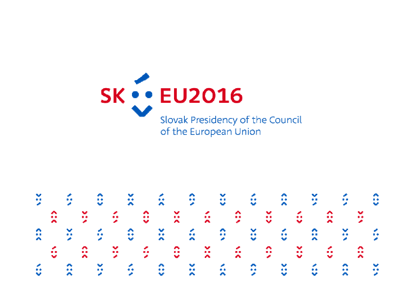

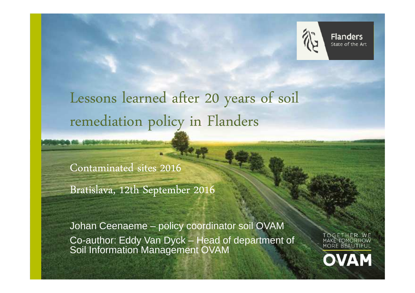

**Flanders** State of the Art

# Lessons learned after 20 years of soil remediation policy in Flanders

Contaminated sites 2016

Bratislava, 12th September 2016

**CARDINAL WAS ARRESTED FOR** 

Johan Ceenaeme – policy coordinator soil OVAM Co-author: Eddy Van Dyck – Head of department of Soil Information Management OVAM

MAKE TOMORROW MORE BEAUTIFL **OVAM**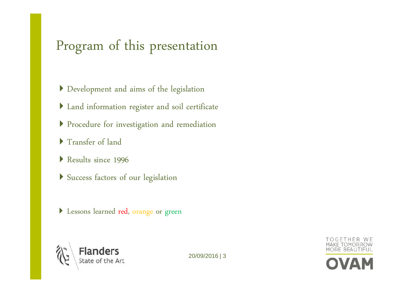## Program of this presentation

- Development and aims of the legislation
- Land information register and soil certificate
- Procedure for investigation and remediation
- Transfer of land
- Results since 1996
- Success factors of our legislation
- Lessons learned red, orange or green



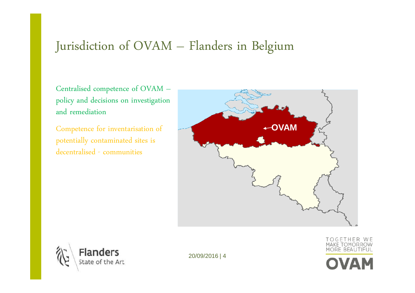#### Jurisdiction of OVAM – Flanders in Belgium

Centralised competence of OVAM – policy and decisions on investigation and remediation

Competence for inventarisation of potentially contaminated sites is decentralised - communities





20/09/2016 | 4



TOGETHER WE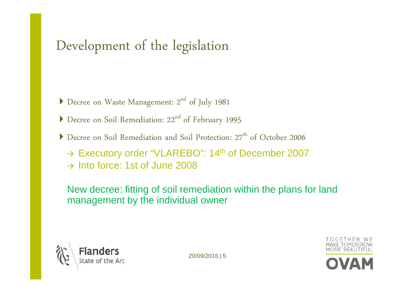# Development of the legislation

- $\blacktriangleright$  Decree on Waste Management: 2<sup>nd</sup> of July 1981
- Decree on Soil Remediation: 22<sup>nd</sup> of February 1995
- Decree on Soil Remediation and Soil Protection:  $27<sup>th</sup>$  of October 2006
	- → Executory order "VLAREBO": 14<sup>th</sup> of December 2007
	- $\rightarrow$  Into force: 1st of June 2008

New decree: fitting of soil remediation within the plans for land management by the individual owner



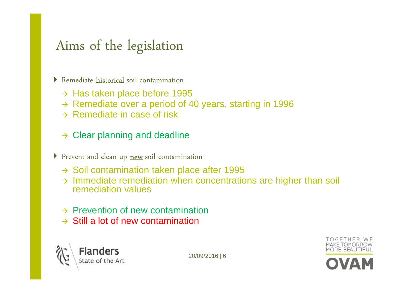#### Aims of the legislation

Remediate **historical** soil contamination

- → Has taken place before 1995
- → Remediate over a period of 40 years, starting in 1996<br>
N Bemediate in ease of risk
- $\rightarrow$  Remediate in case of risk

#### $\rightarrow$  Clear planning and deadline

- Prevent and clean up new soil contamination
	- → Soil contamination taken place after 1995
	- → Immediate remediation when concentrations are higher than soil<br>remediation values remediation values
	- → Prevention of new contamination
	- $\rightarrow$  Still a lot of new contamination



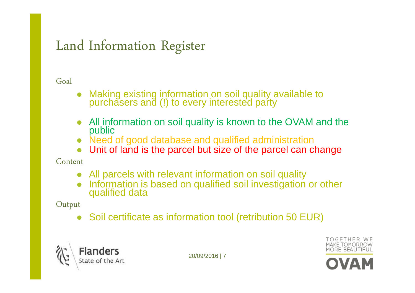#### Land Information Register

Goal

- $\bullet$ • Making existing information on soil quality available to<br>purchasers and (I) to every interested party purchasers and (!) to every interested party
- $\bullet$ All information on soil quality is known to the OVAM and the public
- Need of good database and qualified administration
- $\bullet$ Unit of land is the parcel but size of the parcel can change

Content

- $\bullet$ All parcels with relevant information on soil quality
- $\bullet$ Information is based on qualified soil investigation or other qualified data

Output

- Soil certificate as information tool (retribution 50 EUR)



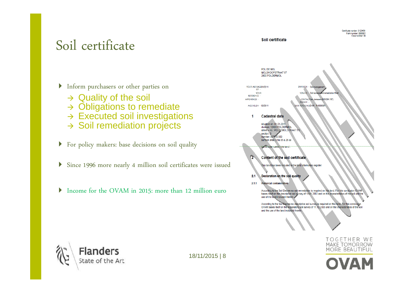#### Soil certificate

Inform purchasers or other parties on

- → Quality of the soil<br>→ Obligations to rer
- → Obligations to remediate<br>→ Executed soil investigatio
- → Executed soil investigations<br>→ Soil remediation projects
- $\rightarrow$  Soil remediation projects
- For policy makers: base decisions on soil quality
- Since 1996 more nearly 4 million soil certificates were issued
- $\blacktriangleright$ Income for the OVAM in 2015: more than 12 million euro





18/11/2015 | 8



**MAKE TOMORROW** 

MORE BEAUTIFUL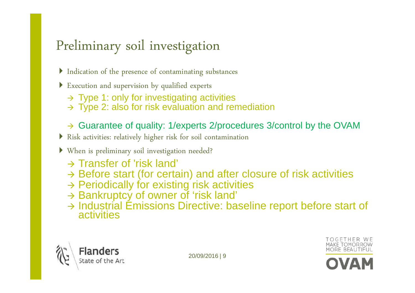# Preliminary soil investigation

- Indication of the presence of contaminating substances
- Execution and supervision by qualified experts
	- → Type 1: only for investigating activities<br>→ Type 2: also for risk evaluation and rea
	- $\rightarrow$  Type 2: also for risk evaluation and remediation
	- → Guarantee of quality: 1/experts 2/procedures 3/control by the OVAM
- Risk activities: relatively higher risk for soil contamination
- When is preliminary soil investigation needed?
	- → Transfer of 'risk land'<br>→ Before start (for certs
	- → Before start (for certain) and after closure of risk activities<br>→ Periodically for existing risk activities
	- → Periodically for existing risk activities<br>→ Bankruptcy of owner of 'risk land'
	- → Bankruptcy of owner of 'risk land'<br>→ Industrial Emissions Directive: ba
	- → Industrial Emissions Directive: baseline report before start of activities



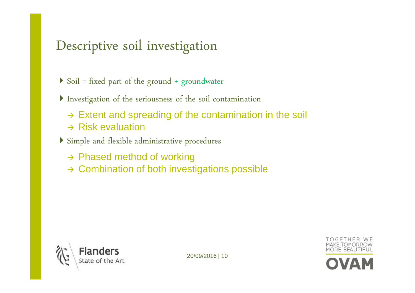#### Descriptive soil investigation

- $\triangleright$  Soil = fixed part of the ground + groundwater
- Investigation of the seriousness of the soil contamination
	- → Extent and spreading of the contamination in the soil
	- $\rightarrow$  Risk evaluation
- Simple and flexible administrative procedures
	- → Phased method of working
	- $\rightarrow$  Combination of both investigations possible



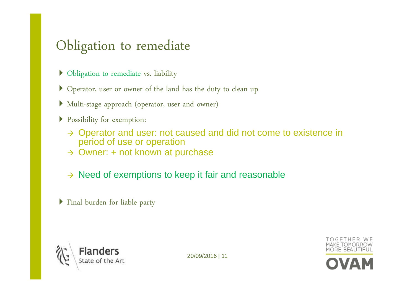### Obligation to remediate

- Obligation to remediate vs. liability
- Operator, user or owner of the land has the duty to clean up
- Multi-stage approach (operator, user and owner)
- Possibility for exemption:
	- → Operator and user: not caused and did not come to existence in<br>neriod of use or operation period of use or operation
	- $\rightarrow$  Owner: + not known at purchase
	- $\rightarrow$  Need of exemptions to keep it fair and reasonable
- Final burden for liable party



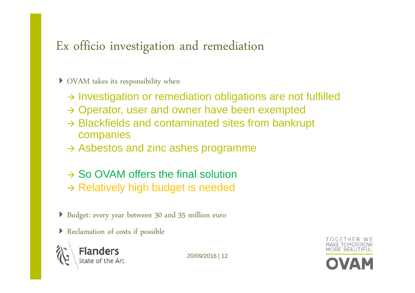#### Ex officio investigation and remediation

#### OVAM takes its responsibility when

- > Investigation or remediation obligations are not fulfilled
- → Operator, user and owner have been exempted
- → Blackfields and contaminated sites from bankrupt<br>companies companies
- $\rightarrow$  Asbestos and zinc ashes programme
- → So OVAM offers the final solution
- $\rightarrow$  Relatively high budget is needed
- Budget: every year between 30 and 35 million euro
- Reclamation of costs if possible



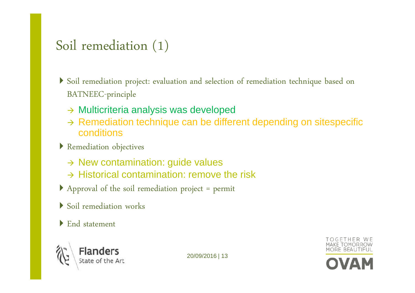#### Soil remediation (1)

- Soil remediation project: evaluation and selection of remediation technique based on BATNEEC-principle
	- → Multicriteria analysis was developed
	- → Remediation technique can be different depending on sitespecific<br>conditions conditions
- Remediation objectives
	- → New contamination: guide values
	- $\rightarrow$  Historical contamination: remove the risk
- Approval of the soil remediation project = permit
- Soil remediation works
- End statement



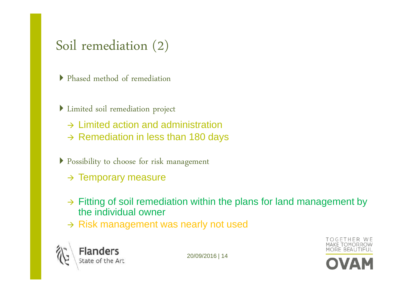#### Soil remediation (2)

- Phased method of remediation
- Limited soil remediation project
	- → Limited action and administration
	- $\rightarrow$  Remediation in less than 180 days
- Possibility to choose for risk management
	- $\rightarrow$  Temporary measure
	- $\rightarrow$  Fitting of soil remediation within the plans for land management by the individual events. the individual owner
	- $\rightarrow$  Risk management was nearly not used



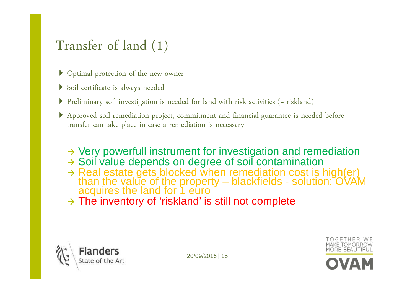### Transfer of land (1)

- Optimal protection of the new owner
- Soil certificate is always needed
- Preliminary soil investigation is needed for land with risk activities (= riskland)
- Approved soil remediation project, commitment an<sup>d</sup> financial guarantee is needed before transfer can take place in case a remediation is necessary
	- → Very powerfull instrument for investigation and remediation<br>→ Soil value depends on degree of soil contamination
	- → Soil value depends on degree of soil contamination<br>→ Real estate gets blocked when remediation cost is
	- → Real estate gets blocked when remediation cost is high(er)<br>than the value of the property blackfields solution: OVAM<br>acquires the land for 1 euro
	- $\rightarrow$  The inventory of 'riskland' is still not complete



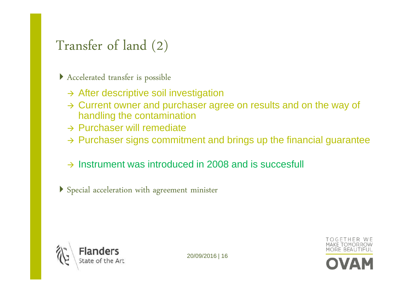#### Transfer of land (2)

Accelerated transfer is possible

- > After descriptive soil investigation
- > Current owner and purchaser agree on results and on the way of bandling the contemination handling the contamination
- → Purchaser will remediate
- $\rightarrow$  Purchaser signs commitment and brings up the financial guarantee
- $\rightarrow$  Instrument was introduced in 2008 and is succesfull

Special acceleration with agreement minister



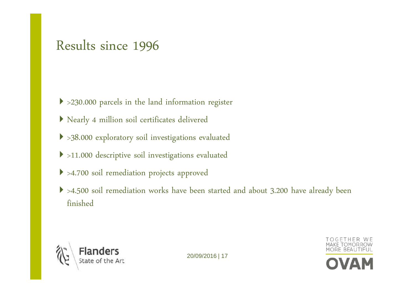#### Results since <sup>1996</sup>

- >230.000 parcels in the land information register
- Nearly 4 million soil certificates delivered
- >38.000 exploratory soil investigations evaluated
- >11.000 descriptive soil investigations evaluated
- >4.700 soil remediation projects approve<sup>d</sup>
- >4.500 soil remediation works have been started and about 3.200 have already been finished



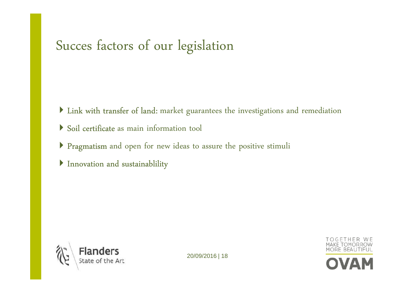# Succes factors of our legislation

- Iink with transfer of land: market guarantees the investigations and remediation
- Soil certificate as main information tool
- Pragmatism and open for new ideas to assure the positive stimuli
- Innovation and sustainablility